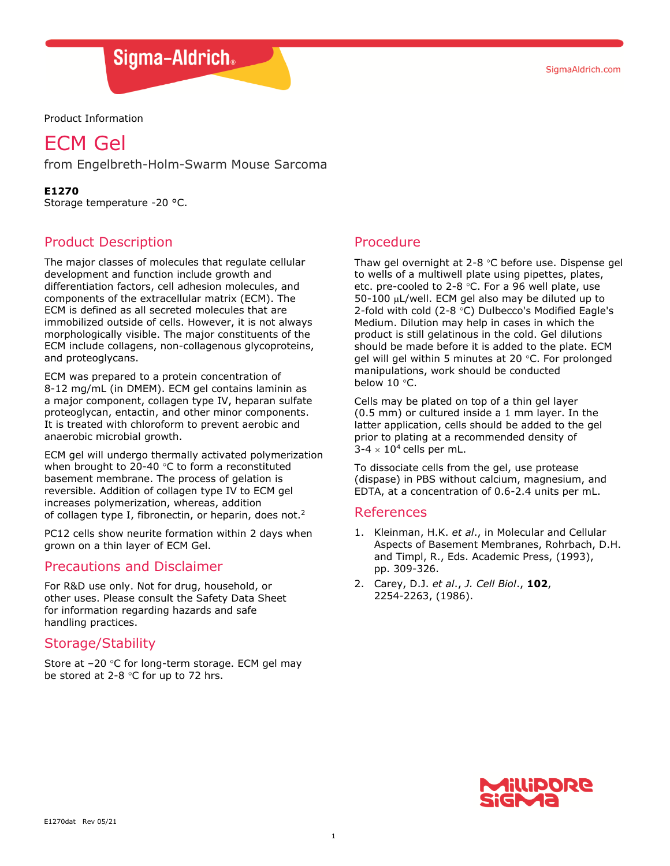SigmaAldrich.com

## Sigma-Aldrich.

Product Information

# ECM Gel

from Engelbreth-Holm-Swarm Mouse Sarcoma

**E1270** 

Storage temperature -20 °C.

## Product Description

The major classes of molecules that regulate cellular development and function include growth and differentiation factors, cell adhesion molecules, and components of the extracellular matrix (ECM). The ECM is defined as all secreted molecules that are immobilized outside of cells. However, it is not always morphologically visible. The major constituents of the ECM include collagens, non-collagenous glycoproteins, and proteoglycans.

ECM was prepared to a protein concentration of 8-12 mg/mL (in DMEM). ECM gel contains laminin as a major component, collagen type IV, heparan sulfate proteoglycan, entactin, and other minor components. It is treated with chloroform to prevent aerobic and anaerobic microbial growth.

ECM gel will undergo thermally activated polymerization when brought to 20-40 °C to form a reconstituted basement membrane. The process of gelation is reversible. Addition of collagen type IV to ECM gel increases polymerization, whereas, addition of collagen type I, fibronectin, or heparin, does not.<sup>2</sup>

PC12 cells show neurite formation within 2 days when grown on a thin layer of ECM Gel.

## Precautions and Disclaimer

For R&D use only. Not for drug, household, or other uses. Please consult the Safety Data Sheet for information regarding hazards and safe handling practices.

## Storage/Stability

Store at –20 °C for long-term storage. ECM gel may be stored at 2-8 °C for up to 72 hrs.

## Procedure

Thaw gel overnight at 2-8  $\degree$ C before use. Dispense gel to wells of a multiwell plate using pipettes, plates, etc. pre-cooled to 2-8  $°C$ . For a 96 well plate, use  $50-100$   $\mu$ L/well. ECM gel also may be diluted up to 2-fold with cold (2-8  $\degree$ C) Dulbecco's Modified Eagle's Medium. Dilution may help in cases in which the product is still gelatinous in the cold. Gel dilutions should be made before it is added to the plate. ECM gel will gel within 5 minutes at 20 $\degree$ C. For prolonged manipulations, work should be conducted below  $10 °C$ .

Cells may be plated on top of a thin gel layer (0.5 mm) or cultured inside a 1 mm layer. In the latter application, cells should be added to the gel prior to plating at a recommended density of  $3-4 \times 10^4$  cells per mL.

To dissociate cells from the gel, use protease (dispase) in PBS without calcium, magnesium, and EDTA, at a concentration of 0.6-2.4 units per mL.

#### References

- 1. Kleinman, H.K. *et al*., in Molecular and Cellular Aspects of Basement Membranes, Rohrbach, D.H. and Timpl, R., Eds. Academic Press, (1993), pp. 309-326.
- 2. Carey, D.J. *et al*., *J. Cell Biol*., **102**, 2254-2263, (1986).